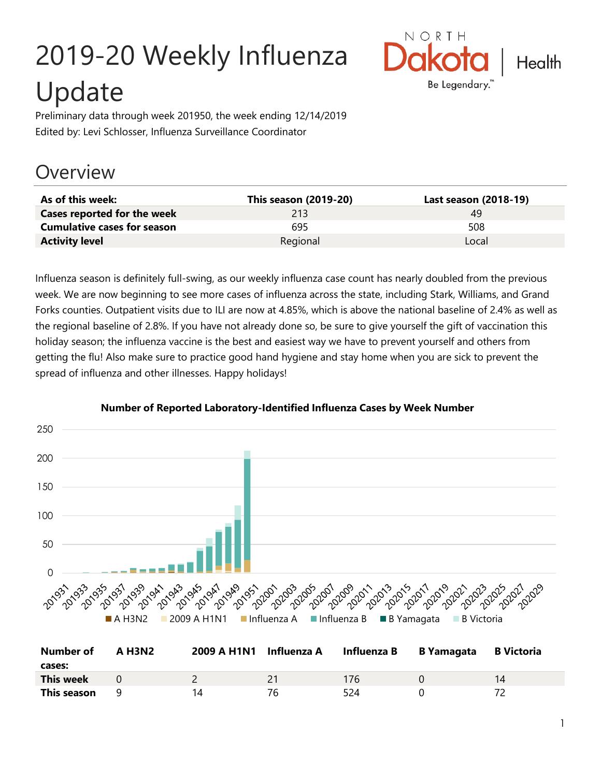# 2019-20 Weekly Influenza Update



Preliminary data through week 201950, the week ending 12/14/2019 Edited by: Levi Schlosser, Influenza Surveillance Coordinator

# **Overview**

| As of this week:                   | This season (2019-20) | Last season (2018-19) |
|------------------------------------|-----------------------|-----------------------|
| Cases reported for the week        | 213                   | 49                    |
| <b>Cumulative cases for season</b> | 695                   | 508                   |
| <b>Activity level</b>              | Regional              | Local                 |

Influenza season is definitely full-swing, as our weekly influenza case count has nearly doubled from the previous week. We are now beginning to see more cases of influenza across the state, including Stark, Williams, and Grand Forks counties. Outpatient visits due to ILI are now at 4.85%, which is above the national baseline of 2.4% as well as the regional baseline of 2.8%. If you have not already done so, be sure to give yourself the gift of vaccination this holiday season; the influenza vaccine is the best and easiest way we have to prevent yourself and others from getting the flu! Also make sure to practice good hand hygiene and stay home when you are sick to prevent the spread of influenza and other illnesses. Happy holidays!



#### **Number of Reported Laboratory-Identified Influenza Cases by Week Number**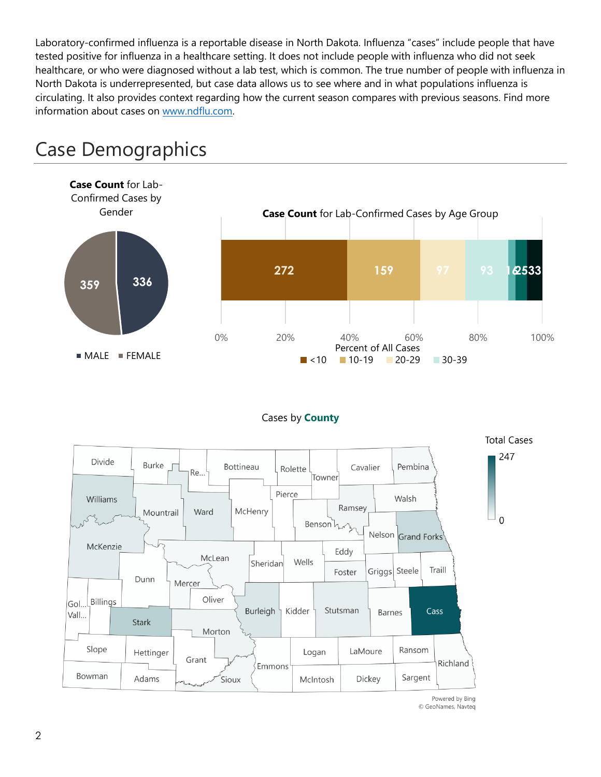Laboratory-confirmed influenza is a reportable disease in North Dakota. Influenza "cases" include people that have tested positive for influenza in a healthcare setting. It does not include people with influenza who did not seek healthcare, or who were diagnosed without a lab test, which is common. The true number of people with influenza in North Dakota is underrepresented, but case data allows us to see where and in what populations influenza is circulating. It also provides context regarding how the current season compares with previous seasons. Find more information about cases on [www.ndflu.com.](file://///nd.gov/doh/DOH-DATA/MSS/DC/PROGRAM/IMMUNE/Immunize/Influenza/Inf18-19/Surveillance/Weekly%20Summaries/www.ndflu.com)



# Case Demographics

#### Cases by **County**



© GeoNames, Navteq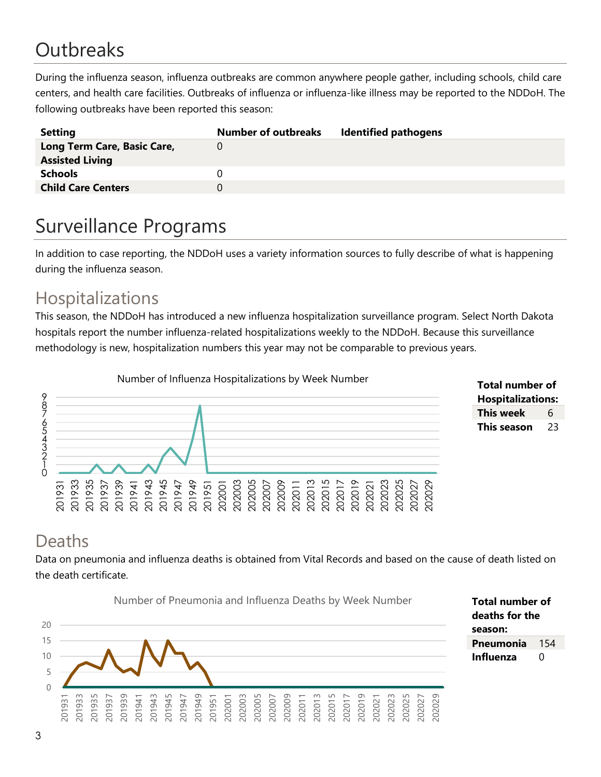# **Outbreaks**

During the influenza season, influenza outbreaks are common anywhere people gather, including schools, child care centers, and health care facilities. Outbreaks of influenza or influenza-like illness may be reported to the NDDoH. The following outbreaks have been reported this season:

| <b>Setting</b>              | <b>Number of outbreaks</b> | <b>Identified pathogens</b> |
|-----------------------------|----------------------------|-----------------------------|
| Long Term Care, Basic Care, |                            |                             |
| <b>Assisted Living</b>      |                            |                             |
| <b>Schools</b>              |                            |                             |
| <b>Child Care Centers</b>   |                            |                             |
|                             |                            |                             |

# Surveillance Programs

In addition to case reporting, the NDDoH uses a variety information sources to fully describe of what is happening during the influenza season.

## Hospitalizations

This season, the NDDoH has introduced a new influenza hospitalization surveillance program. Select North Dakota hospitals report the number influenza-related hospitalizations weekly to the NDDoH. Because this surveillance methodology is new, hospitalization numbers this year may not be comparable to previous years.





### Deaths

Data on pneumonia and influenza deaths is obtained from Vital Records and based on the cause of death listed on the death certificate.

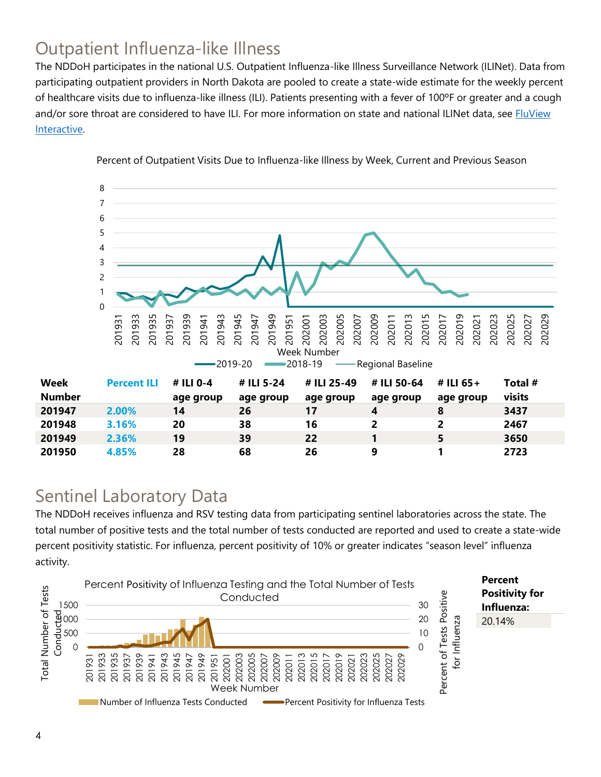## Outpatient Influenza-like Illness

The NDDoH participates in the national U.S. Outpatient Influenza-like Illness Surveillance Network (ILINet). Data from participating outpatient providers in North Dakota are pooled to create a state-wide estimate for the weekly percent of healthcare visits due to influenza-like illness (ILI). Patients presenting with a fever of 100ºF or greater and a cough and/or sore throat are considered to have ILI. For more information on state and national ILINet data, see **FluView** [Interactive.](https://gis.cdc.gov/grasp/fluview/fluportaldashboard.html)



Percent of Outpatient Visits Due to Influenza-like Illness by Week, Current and Previous Season

## Sentinel Laboratory Data

The NDDoH receives influenza and RSV testing data from participating sentinel laboratories across the state. The total number of positive tests and the total number of tests conducted are reported and used to create a state-wide percent positivity statistic. For influenza, percent positivity of 10% or greater indicates "season level" influenza activity.

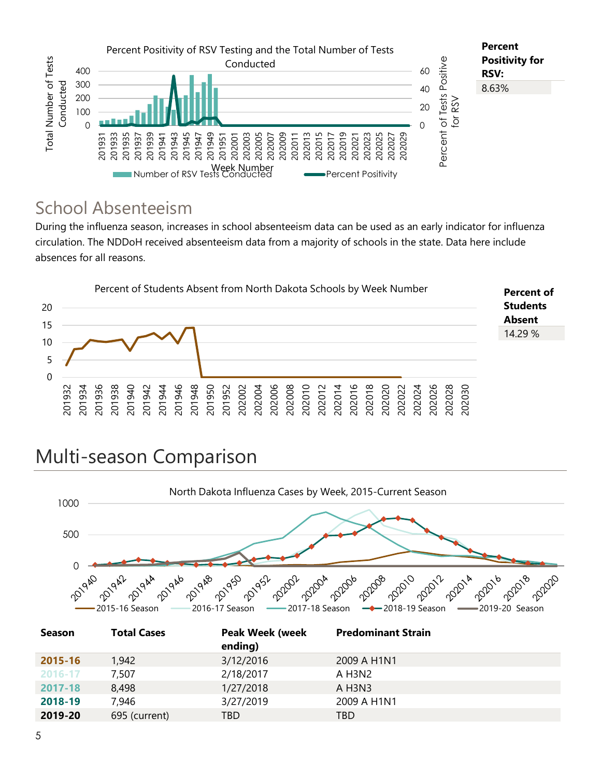

## School Absenteeism

During the influenza season, increases in school absenteeism data can be used as an early indicator for influenza circulation. The NDDoH received absenteeism data from a majority of schools in the state. Data here include absences for all reasons.



# Multi-season Comparison